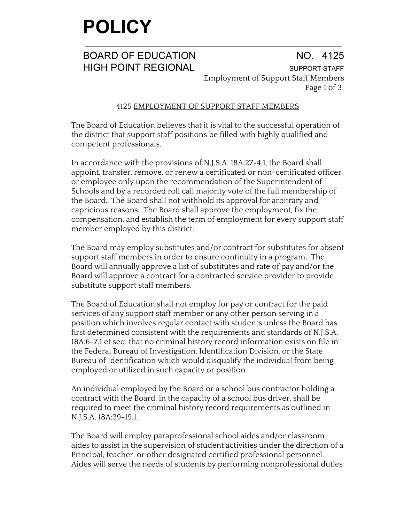### **POLICY**

BOARD OF EDUCATION NO. 4125 HIGH POINT REGIONAL SUPPORT STAFF Employment of Support Staff Members Page 1 of 3

### 4125 EMPLOYMENT OF SUPPORT STAFF MEMBERS

The Board of Education believes that it is vital to the successful operation of the district that support staff positions be filled with highly qualified and competent professionals.

In accordance with the provisions of N.J.S.A. 18A:27-4.1, the Board shall appoint, transfer, remove, or renew a certificated or non-certificated officer or employee only upon the recommendation of the Superintendent of Schools and by a recorded roll call majority vote of the full membership of the Board. The Board shall not withhold its approval for arbitrary and capricious reasons. The Board shall approve the employment, fix the compensation, and establish the term of employment for every support staff member employed by this district.

The Board may employ substitutes and/or contract for substitutes for absent support staff members in order to ensure continuity in a program**.** The Board will annually approve a list of substitutes and rate of pay and/or the Board will approve a contract for a contracted service provider to provide substitute support staff members.

The Board of Education shall not employ for pay or contract for the paid services of any support staff member or any other person serving in a position which involves regular contact with students unless the Board has first determined consistent with the requirements and standards of N.J.S.A. 18A:6-7.1 et seq. that no criminal history record information exists on file in the Federal Bureau of Investigation, Identification Division, or the State Bureau of Identification which would disqualify the individual from being employed or utilized in such capacity or position.

An individual employed by the Board or a school bus contractor holding a contract with the Board, in the capacity of a school bus driver, shall be required to meet the criminal history record requirements as outlined in N.J.S.A. 18A:39-19.1.

The Board will employ paraprofessional school aides and/or classroom aides to assist in the supervision of student activities under the direction of a Principal, teacher, or other designated certified professional personnel. Aides will serve the needs of students by performing nonprofessional duties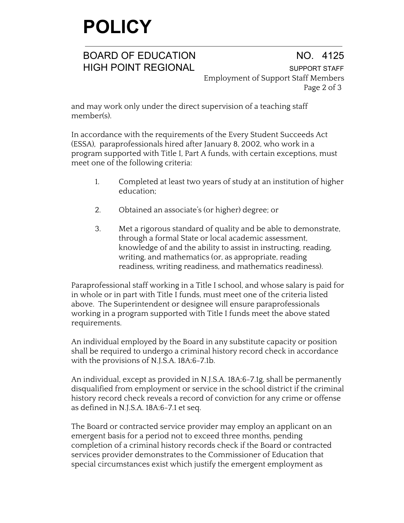# **POLICY**

BOARD OF EDUCATION NO. 4125 HIGH POINT REGIONAL SUPPORT STAFF Employment of Support Staff Members Page 2 of 3

and may work only under the direct supervision of a teaching staff member(s).

In accordance with the requirements of the Every Student Succeeds Act (ESSA), paraprofessionals hired after January 8, 2002, who work in a program supported with Title I, Part A funds, with certain exceptions, must meet one of the following criteria:

- 1. Completed at least two years of study at an institution of higher education;
- 2. Obtained an associate's (or higher) degree; or
- 3. Met a rigorous standard of quality and be able to demonstrate, through a formal State or local academic assessment, knowledge of and the ability to assist in instructing, reading, writing, and mathematics (or, as appropriate, reading readiness, writing readiness, and mathematics readiness).

Paraprofessional staff working in a Title I school, and whose salary is paid for in whole or in part with Title I funds, must meet one of the criteria listed above. The Superintendent or designee will ensure paraprofessionals working in a program supported with Title I funds meet the above stated requirements.

An individual employed by the Board in any substitute capacity or position shall be required to undergo a criminal history record check in accordance with the provisions of N.J.S.A. 18A:6-7.1b.

An individual, except as provided in N.J.S.A. 18A:6-7.1g, shall be permanently disqualified from employment or service in the school district if the criminal history record check reveals a record of conviction for any crime or offense as defined in N.J.S.A. 18A:6-7.1 et seq.

The Board or contracted service provider may employ an applicant on an emergent basis for a period not to exceed three months, pending completion of a criminal history records check if the Board or contracted services provider demonstrates to the Commissioner of Education that special circumstances exist which justify the emergent employment as